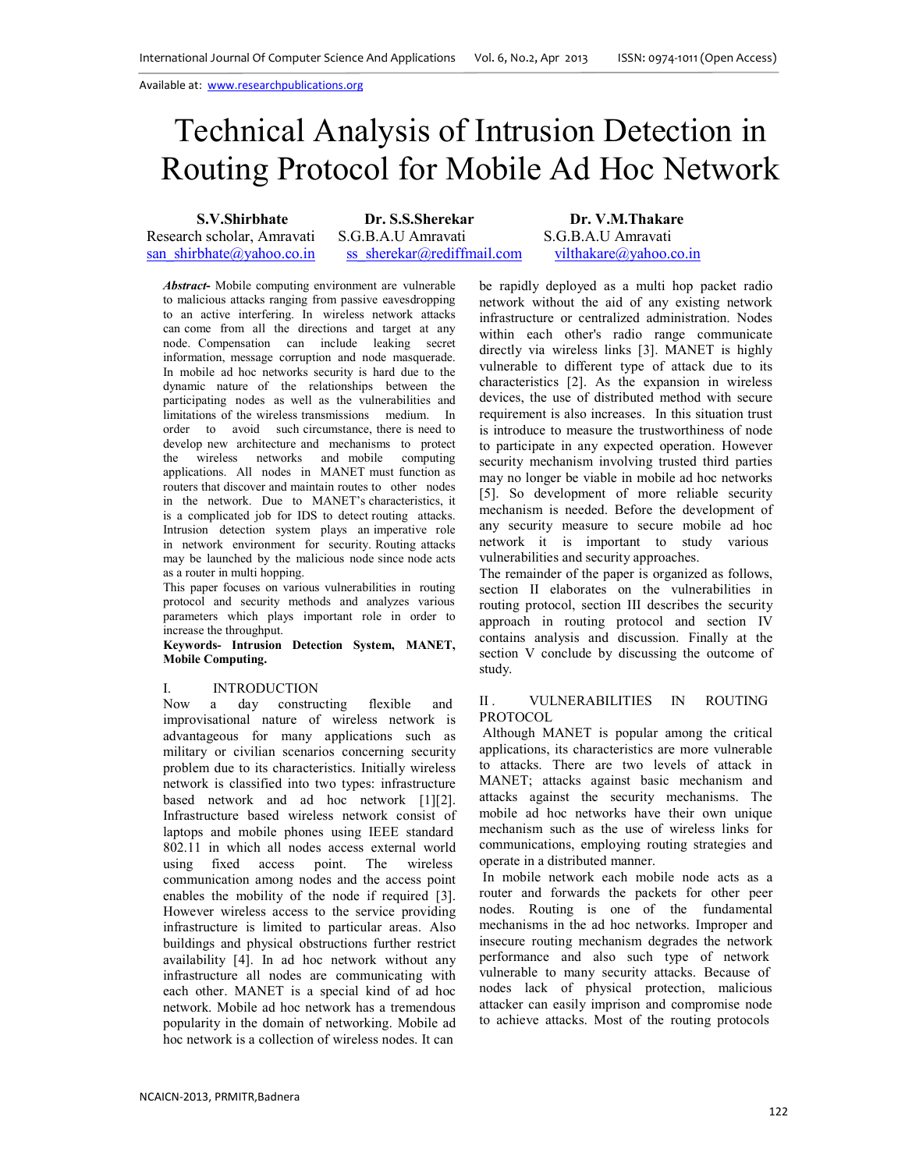# Technical Analysis of Intrusion Detection in Routing Protocol for Mobile Ad Hoc Network

**S.V.Shirbhate Dr. S.S.Sherekar Dr. V.M.Thakare**  Research scholar, Amravati S.G.B.A.U Amravati S.G.B.A.U Amravati san\_shirbhate@yahoo.co.in ss\_sherekar@rediffmail.com vilthakare@yahoo.co.in

*Abstract***-** Mobile computing environment are vulnerable to malicious attacks ranging from passive eavesdropping to an active interfering. In wireless network attacks can come from all the directions and target at any node. Compensation can include leaking secret information, message corruption and node masquerade. In mobile ad hoc networks security is hard due to the dynamic nature of the relationships between the participating nodes as well as the vulnerabilities and limitations of the wireless transmissions medium. In order to avoid such circumstance, there is need to develop new architecture and mechanisms to protect the wireless networks and mobile computing applications. All nodes in MANET must function as routers that discover and maintain routes to other nodes in the network. Due to MANET's characteristics, it is a complicated job for IDS to detect routing attacks. Intrusion detection system plays an imperative role in network environment for security. Routing attacks may be launched by the malicious node since node acts as a router in multi hopping.

This paper focuses on various vulnerabilities in routing protocol and security methods and analyzes various parameters which plays important role in order to increase the throughput.

**Keywords- Intrusion Detection System, MANET, Mobile Computing.**

#### I. INTRODUCTION

Now a day constructing flexible and improvisational nature of wireless network is advantageous for many applications such as military or civilian scenarios concerning security problem due to its characteristics. Initially wireless network is classified into two types: infrastructure based network and ad hoc network [1][2]. Infrastructure based wireless network consist of laptops and mobile phones using IEEE standard 802.11 in which all nodes access external world using fixed access point. The wireless communication among nodes and the access point enables the mobility of the node if required [3]. However wireless access to the service providing infrastructure is limited to particular areas. Also buildings and physical obstructions further restrict availability [4]. In ad hoc network without any infrastructure all nodes are communicating with each other. MANET is a special kind of ad hoc network. Mobile ad hoc network has a tremendous popularity in the domain of networking. Mobile ad hoc network is a collection of wireless nodes. It can

be rapidly deployed as a multi hop packet radio network without the aid of any existing network infrastructure or centralized administration. Nodes within each other's radio range communicate directly via wireless links [3]. MANET is highly vulnerable to different type of attack due to its characteristics [2]. As the expansion in wireless devices, the use of distributed method with secure requirement is also increases. In this situation trust is introduce to measure the trustworthiness of node to participate in any expected operation. However security mechanism involving trusted third parties may no longer be viable in mobile ad hoc networks [5]. So development of more reliable security mechanism is needed. Before the development of any security measure to secure mobile ad hoc network it is important to study various vulnerabilities and security approaches.

The remainder of the paper is organized as follows, section II elaborates on the vulnerabilities in routing protocol, section III describes the security approach in routing protocol and section IV contains analysis and discussion. Finally at the section V conclude by discussing the outcome of study.

#### II. VULNERABILITIES IN ROUTING PROTOCOL

Although MANET is popular among the critical applications, its characteristics are more vulnerable to attacks. There are two levels of attack in MANET; attacks against basic mechanism and attacks against the security mechanisms. The mobile ad hoc networks have their own unique mechanism such as the use of wireless links for communications, employing routing strategies and operate in a distributed manner.

In mobile network each mobile node acts as a router and forwards the packets for other peer nodes. Routing is one of the fundamental mechanisms in the ad hoc networks. Improper and insecure routing mechanism degrades the network performance and also such type of network vulnerable to many security attacks. Because of nodes lack of physical protection, malicious attacker can easily imprison and compromise node to achieve attacks. Most of the routing protocols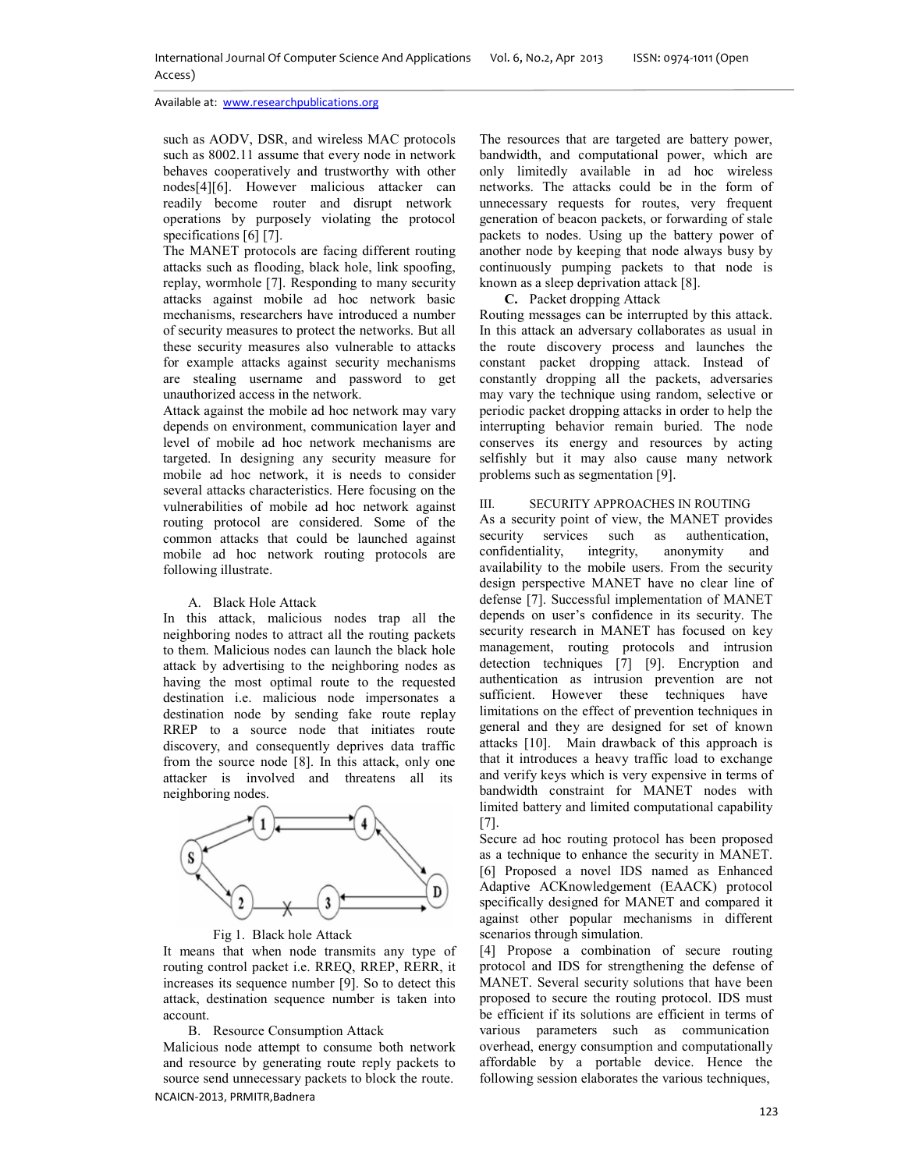such as AODV, DSR, and wireless MAC protocols such as 8002.11 assume that every node in network behaves cooperatively and trustworthy with other nodes[4][6]. However malicious attacker can readily become router and disrupt network operations by purposely violating the protocol specifications [6] [7].

The MANET protocols are facing different routing attacks such as flooding, black hole, link spoofing, replay, wormhole [7]. Responding to many security attacks against mobile ad hoc network basic mechanisms, researchers have introduced a number of security measures to protect the networks. But all these security measures also vulnerable to attacks for example attacks against security mechanisms are stealing username and password to get unauthorized access in the network.

Attack against the mobile ad hoc network may vary depends on environment, communication layer and level of mobile ad hoc network mechanisms are targeted. In designing any security measure for mobile ad hoc network, it is needs to consider several attacks characteristics. Here focusing on the vulnerabilities of mobile ad hoc network against routing protocol are considered. Some of the common attacks that could be launched against mobile ad hoc network routing protocols are following illustrate.

### A. Black Hole Attack

In this attack, malicious nodes trap all the neighboring nodes to attract all the routing packets to them. Malicious nodes can launch the black hole attack by advertising to the neighboring nodes as having the most optimal route to the requested destination i.e. malicious node impersonates a destination node by sending fake route replay RREP to a source node that initiates route discovery, and consequently deprives data traffic from the source node [8]. In this attack, only one attacker is involved and threatens all its neighboring nodes.



Fig 1. Black hole Attack

It means that when node transmits any type of routing control packet i.e. RREQ, RREP, RERR, it increases its sequence number [9]. So to detect this attack, destination sequence number is taken into account.

B. Resource Consumption Attack

NCAICN-2013, PRMITR,Badnera Malicious node attempt to consume both network and resource by generating route reply packets to source send unnecessary packets to block the route.

The resources that are targeted are battery power, bandwidth, and computational power, which are only limitedly available in ad hoc wireless networks. The attacks could be in the form of unnecessary requests for routes, very frequent generation of beacon packets, or forwarding of stale packets to nodes. Using up the battery power of another node by keeping that node always busy by continuously pumping packets to that node is known as a sleep deprivation attack [8].

# **C.** Packet dropping Attack

Routing messages can be interrupted by this attack. In this attack an adversary collaborates as usual in the route discovery process and launches the constant packet dropping attack. Instead of constantly dropping all the packets, adversaries may vary the technique using random, selective or periodic packet dropping attacks in order to help the interrupting behavior remain buried. The node conserves its energy and resources by acting selfishly but it may also cause many network problems such as segmentation [9].

## III. SECURITY APPROACHES IN ROUTING

As a security point of view, the MANET provides security services such as authentication, confidentiality, integrity, anonymity and confidentiality, integrity, anonymity and availability to the mobile users. From the security design perspective MANET have no clear line of defense [7]. Successful implementation of MANET depends on user's confidence in its security. The security research in MANET has focused on key management, routing protocols and intrusion detection techniques [7] [9]. Encryption and authentication as intrusion prevention are not sufficient. However these techniques have limitations on the effect of prevention techniques in general and they are designed for set of known attacks [10]. Main drawback of this approach is that it introduces a heavy traffic load to exchange and verify keys which is very expensive in terms of bandwidth constraint for MANET nodes with limited battery and limited computational capability [7].

Secure ad hoc routing protocol has been proposed as a technique to enhance the security in MANET. [6] Proposed a novel IDS named as Enhanced Adaptive ACKnowledgement (EAACK) protocol specifically designed for MANET and compared it against other popular mechanisms in different scenarios through simulation.

[4] Propose a combination of secure routing protocol and IDS for strengthening the defense of MANET. Several security solutions that have been proposed to secure the routing protocol. IDS must be efficient if its solutions are efficient in terms of various parameters such as communication overhead, energy consumption and computationally affordable by a portable device. Hence the following session elaborates the various techniques,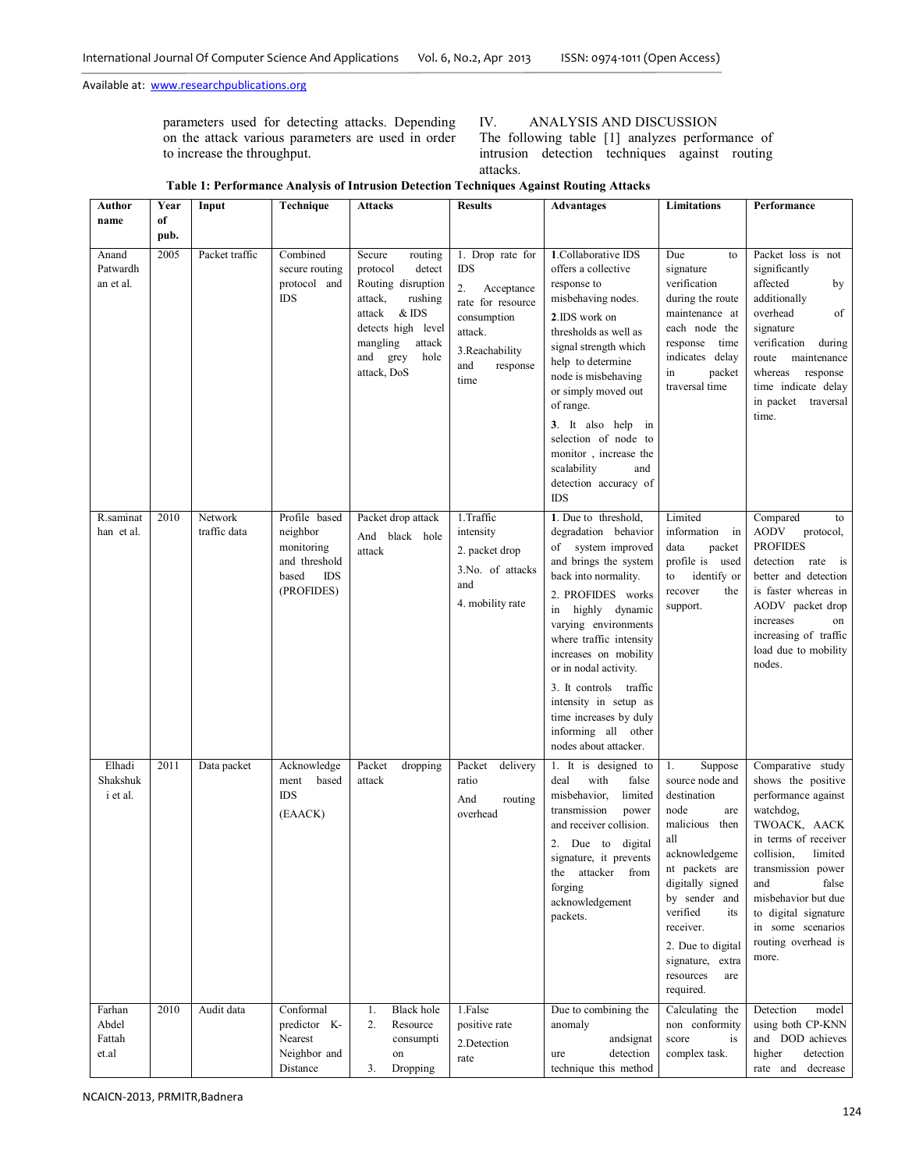parameters used for detecting attacks. Depending on the attack various parameters are used in order to increase the throughput.

# IV. ANALYSIS AND DISCUSSION

The following table [1] analyzes performance of intrusion detection techniques against routing attacks.

| Table 1: Performance Analysis of Intrusion Detection Techniques Against Routing Attacks |  |  |  |
|-----------------------------------------------------------------------------------------|--|--|--|
|                                                                                         |  |  |  |

| Author<br>name                     | Year<br>of   | Input                   | Technique                                                                                     | Attacks                                                                                                                                                                                  | <b>Results</b>                                                                                                                                  | Advantages                                                                                                                                                                                                                                                                                                                                                                                         | Limitations                                                                                                                                                                                                                                                               | Performance                                                                                                                                                                                                                                                                            |
|------------------------------------|--------------|-------------------------|-----------------------------------------------------------------------------------------------|------------------------------------------------------------------------------------------------------------------------------------------------------------------------------------------|-------------------------------------------------------------------------------------------------------------------------------------------------|----------------------------------------------------------------------------------------------------------------------------------------------------------------------------------------------------------------------------------------------------------------------------------------------------------------------------------------------------------------------------------------------------|---------------------------------------------------------------------------------------------------------------------------------------------------------------------------------------------------------------------------------------------------------------------------|----------------------------------------------------------------------------------------------------------------------------------------------------------------------------------------------------------------------------------------------------------------------------------------|
| Anand<br>Patwardh<br>an et al.     | pub.<br>2005 | Packet traffic          | Combined<br>secure routing<br>protocol and<br><b>IDS</b>                                      | Secure<br>routing<br>detect<br>protocol<br>Routing disruption<br>attack,<br>rushing<br>& IDS<br>attack<br>detects high level<br>mangling<br>attack<br>and<br>grey<br>hole<br>attack, DoS | 1. Drop rate for<br><b>IDS</b><br>2.<br>Acceptance<br>rate for resource<br>consumption<br>attack.<br>3. Reachability<br>and<br>response<br>time | 1. Collaborative IDS<br>offers a collective<br>response to<br>misbehaving nodes.<br>2.IDS work on<br>thresholds as well as<br>signal strength which<br>help to determine<br>node is misbehaving<br>or simply moved out<br>of range.<br>3. It also help<br>in<br>selection of node to<br>monitor, increase the<br>scalability<br>and<br>detection accuracy of<br><b>IDS</b>                         | Due<br>to<br>signature<br>verification<br>during the route<br>maintenance at<br>each node the<br>response time<br>indicates delay<br>in<br>packet<br>traversal time                                                                                                       | Packet loss is not<br>significantly<br>affected<br>by<br>additionally<br>overhead<br>of<br>signature<br>verification<br>during<br>maintenance<br>route<br>whereas<br>response<br>time indicate delay<br>in packet<br>traversal<br>time.                                                |
| R.saminat<br>han et al.            | 2010         | Network<br>traffic data | Profile based<br>neighbor<br>monitoring<br>and threshold<br><b>IDS</b><br>based<br>(PROFIDES) | Packet drop attack<br>And<br>black hole<br>attack                                                                                                                                        | 1. Traffic<br>intensity<br>2. packet drop<br>3.No. of attacks<br>and<br>4. mobility rate                                                        | 1. Due to threshold.<br>degradation behavior<br>of system improved<br>and brings the system<br>back into normality.<br>2. PROFIDES works<br>highly dynamic<br>in<br>varying environments<br>where traffic intensity<br>increases on mobility<br>or in nodal activity.<br>3. It controls traffic<br>intensity in setup as<br>time increases by duly<br>informing all other<br>nodes about attacker. | Limited<br>information<br>in<br>data<br>packet<br>profile is used<br>identify or<br>to<br>recover<br>the<br>support.                                                                                                                                                      | Compared<br>to<br><b>AODV</b><br>protocol,<br><b>PROFIDES</b><br>detection<br>rate is<br>better and detection<br>is faster whereas in<br>AODV packet drop<br>increases<br>on<br>increasing of traffic<br>load due to mobility<br>nodes.                                                |
| Elhadi<br>Shakshuk<br>i et al.     | 2011         | Data packet             | Acknowledge<br>ment<br>based<br><b>IDS</b><br>(EAACK)                                         | Packet<br>dropping<br>attack                                                                                                                                                             | Packet<br>delivery<br>ratio<br>And<br>routing<br>overhead                                                                                       | is designed to<br>$1.$ It<br>with<br>deal<br>false<br>misbehavior,<br>limited<br>transmission<br>power<br>and receiver collision.<br>Due to digital<br>signature, it prevents<br>attacker<br>from<br>the<br>forging<br>acknowledgement<br>packets.                                                                                                                                                 | 1.<br>Suppose<br>source node and<br>destination<br>node<br>are<br>malicious then<br>all<br>acknowledgeme<br>nt packets are<br>digitally signed<br>by sender and<br>verified<br>its<br>receiver.<br>2. Due to digital<br>signature, extra<br>resources<br>are<br>required. | Comparative study<br>shows the positive<br>performance against<br>watchdog,<br>TWOACK, AACK<br>in terms of receiver<br>collision,<br>limited<br>transmission power<br>and<br>false<br>misbehavior but due<br>to digital signature<br>in some scenarios<br>routing overhead is<br>more. |
| Farhan<br>Abdel<br>Fattah<br>et.al | 2010         | Audit data              | Conformal<br>predictor K-<br>Nearest<br>Neighbor and<br>Distance                              | <b>Black</b> hole<br>1.<br>Resource<br>2.<br>consumpti<br>on<br>Dropping<br>3.                                                                                                           | 1.False<br>positive rate<br>2. Detection<br>rate                                                                                                | Due to combining the<br>anomaly<br>andsignat<br>detection<br>ure<br>technique this method                                                                                                                                                                                                                                                                                                          | Calculating the<br>non conformity<br>score<br>is<br>complex task.                                                                                                                                                                                                         | Detection<br>model<br>using both CP-KNN<br>and DOD achieves<br>higher<br>detection<br>decrease<br>rate and                                                                                                                                                                             |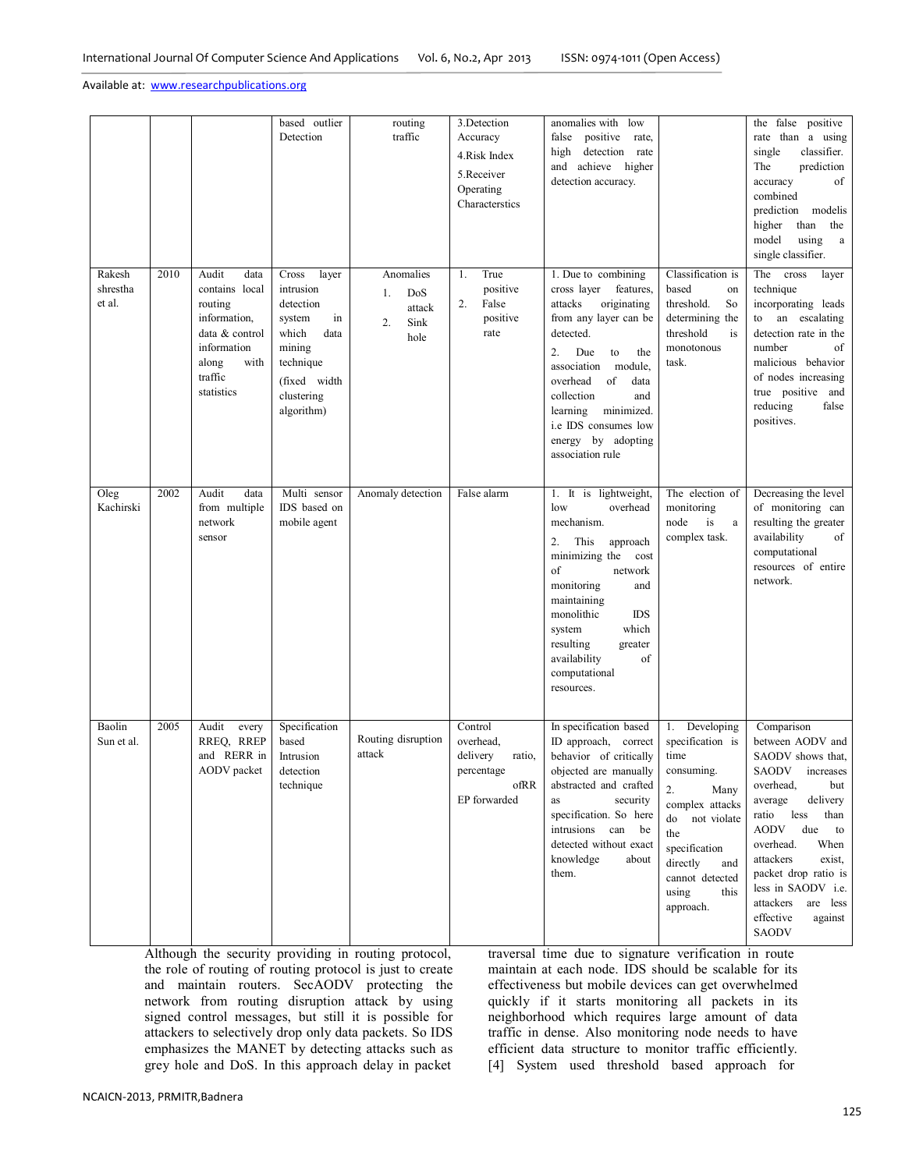|                              |      |                                                                                                                                       | based outlier<br>Detection                                                                                                                   | routing<br>traffic                                     | 3.Detection<br>Accuracy<br>4.Risk Index<br>5.Receiver<br>Operating<br>Characterstics | anomalies with<br>low<br>false<br>positive<br>rate,<br>high detection rate<br>and achieve<br>higher<br>detection accuracy.                                                                                                                                                                                     |                                                                                                                                                                                                        | the false<br>positive<br>rate than a using<br>single<br>classifier.<br>The<br>prediction<br>of<br>accuracy<br>combined<br>prediction<br>modelis<br>than<br>higher<br>the<br>model<br>using<br>$\rm{a}$                                                                                                                        |
|------------------------------|------|---------------------------------------------------------------------------------------------------------------------------------------|----------------------------------------------------------------------------------------------------------------------------------------------|--------------------------------------------------------|--------------------------------------------------------------------------------------|----------------------------------------------------------------------------------------------------------------------------------------------------------------------------------------------------------------------------------------------------------------------------------------------------------------|--------------------------------------------------------------------------------------------------------------------------------------------------------------------------------------------------------|-------------------------------------------------------------------------------------------------------------------------------------------------------------------------------------------------------------------------------------------------------------------------------------------------------------------------------|
| Rakesh<br>shrestha<br>et al. | 2010 | Audit<br>data<br>contains local<br>routing<br>information,<br>data & control<br>information<br>along<br>with<br>traffic<br>statistics | Cross<br>layer<br>intrusion<br>detection<br>in<br>system<br>which<br>data<br>mining<br>technique<br>(fixed width<br>clustering<br>algorithm) | Anomalies<br>DoS<br>1.<br>attack<br>Sink<br>2.<br>hole | True<br>1.<br>positive<br>2.<br>False<br>positive<br>rate                            | 1. Due to combining<br>cross layer<br>features,<br>attacks<br>originating<br>from any layer can be<br>detected.<br>2.<br>Due<br>to<br>the<br>association<br>module,<br>overhead<br>of<br>data<br>collection<br>and<br>learning<br>minimized.<br>i.e IDS consumes low<br>energy by adopting<br>association rule | Classification is<br>based<br>on<br>threshold.<br>So<br>determining the<br>threshold<br>is<br>monotonous<br>task.                                                                                      | single classifier.<br>The<br>cross<br>layer<br>technique<br>incorporating leads<br>an escalating<br>to<br>detection rate in the<br>number<br>of<br>malicious behavior<br>of nodes increasing<br>true positive and<br>reducing<br>false<br>positives.                                                                          |
| Oleg<br>Kachirski            | 2002 | Audit<br>data<br>from multiple<br>network<br>sensor                                                                                   | Multi sensor<br>IDS based on<br>mobile agent                                                                                                 | Anomaly detection                                      | False alarm                                                                          | 1. It is lightweight,<br>overhead<br>low<br>mechanism.<br>2.<br>This<br>approach<br>minimizing the<br>cost<br>of<br>network<br>monitoring<br>and<br>maintaining<br>monolithic<br><b>IDS</b><br>which<br>system<br>resulting<br>greater<br>of<br>availability<br>computational<br>resources.                    | The election of<br>monitoring<br>node<br>is<br>a<br>complex task.                                                                                                                                      | Decreasing the level<br>of monitoring can<br>resulting the greater<br>availability<br>of<br>computational<br>resources of entire<br>network.                                                                                                                                                                                  |
| Baolin<br>Sun et al.         | 2005 | Audit<br>every<br>RREQ, RREP<br>and RERR in<br>AODV packet                                                                            | Specification<br>based<br>Intrusion<br>detection<br>technique                                                                                | Routing disruption<br>attack                           | Control<br>overhead.<br>delivery<br>ratio,<br>percentage<br>ofRR<br>EP forwarded     | In specification based<br>ID approach, correct<br>behavior of critically<br>objected are manually<br>abstracted and crafted<br>security<br>as<br>specification. So here<br>intrusions can be<br>detected without exact<br>knowledge<br>about<br>them.                                                          | 1. Developing<br>specification is<br>time<br>consuming.<br>2.<br>Many<br>complex attacks<br>do not violate<br>the<br>specification<br>directly<br>and<br>cannot detected<br>using<br>this<br>approach. | Comparison<br>between AODV and<br>SAODV shows that,<br>SAODV<br>increases<br>overhead.<br>but<br>average<br>delivery<br>less<br>than<br>ratio<br>due<br>AODV<br>to<br>When<br>overhead.<br>attackers<br>exist,<br>packet drop ratio is<br>less in SAODV i.e.<br>attackers<br>are less<br>effective<br>against<br><b>SAODV</b> |

Although the security providing in routing protocol, the role of routing of routing protocol is just to create and maintain routers. SecAODV protecting the network from routing disruption attack by using signed control messages, but still it is possible for attackers to selectively drop only data packets. So IDS emphasizes the MANET by detecting attacks such as grey hole and DoS. In this approach delay in packet

traversal time due to signature verification in route maintain at each node. IDS should be scalable for its effectiveness but mobile devices can get overwhelmed quickly if it starts monitoring all packets in its neighborhood which requires large amount of data traffic in dense. Also monitoring node needs to have efficient data structure to monitor traffic efficiently. [4] System used threshold based approach for